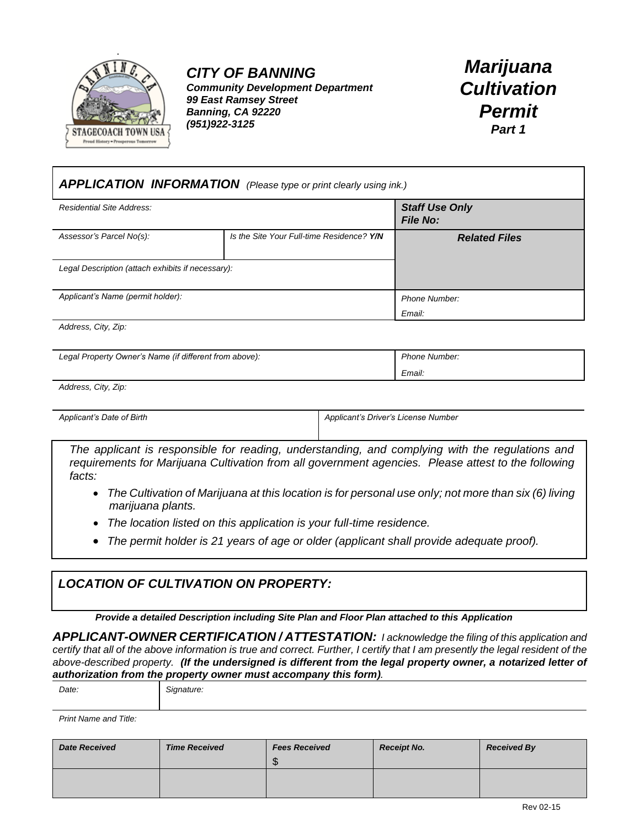

*CITY OF BANNING Community Development Department 99 East Ramsey Street Banning, CA 92220 (951)922-3125*

*Marijuana Cultivation Permit Part 1*

| <b>APPLICATION INFORMATION</b> (Please type or print clearly using ink.) |                                           |                      |  |
|--------------------------------------------------------------------------|-------------------------------------------|----------------------|--|
| Residential Site Address:                                                | <b>Staff Use Only</b><br><b>File No:</b>  |                      |  |
| Assessor's Parcel No(s):                                                 | Is the Site Your Full-time Residence? Y/N | <b>Related Files</b> |  |
| Legal Description (attach exhibits if necessary):                        |                                           |                      |  |
| Applicant's Name (permit holder):                                        |                                           | Phone Number:        |  |
|                                                                          |                                           | Email:               |  |

*Address, City, Zip:*

| Legal Property Owner's Name (if different from above): | <b>Phone Number:</b> |
|--------------------------------------------------------|----------------------|
|                                                        | Email:               |

*Address, City, Zip:*

Applicant's Date of Birth Applicant's Driver's License Number

*The applicant is responsible for reading, understanding, and complying with the regulations and requirements for Marijuana Cultivation from all government agencies. Please attest to the following facts:*

- *The Cultivation of Marijuana at this location is for personal use only; not more than six (6) living marijuana plants.*
- *The location listed on this application is your full-time residence.*
- *The permit holder is 21 years of age or older (applicant shall provide adequate proof).*

#### *LOCATION OF CULTIVATION ON PROPERTY:*

*Provide a detailed Description including Site Plan and Floor Plan attached to this Application*

*APPLICANT-OWNER CERTIFICATION / ATTESTATION: I acknowledge the filing of this application and certify that all of the above information is true and correct. Further, I certify that I am presently the legal resident of the above-described property. (If the undersigned is different from the legal property owner, a notarized letter of authorization from the property owner must accompany this form).*

| Date: | Signature: |
|-------|------------|
|       |            |

*Print Name and Title:*

| <b>Date Received</b> | <b>Time Received</b> | <b>Fees Received</b><br>$\Gamma$<br>$\cdot$ D | <b>Receipt No.</b> | <b>Received By</b> |
|----------------------|----------------------|-----------------------------------------------|--------------------|--------------------|
|                      |                      |                                               |                    |                    |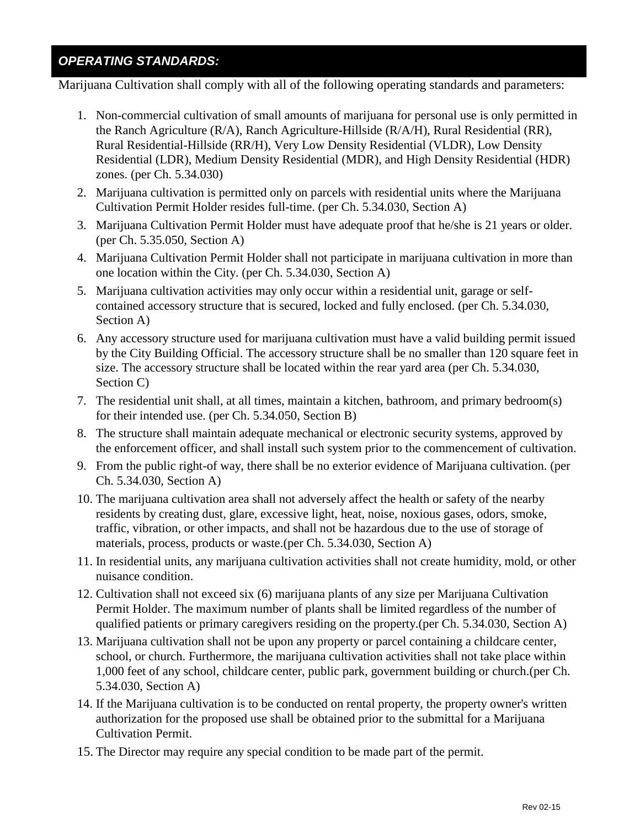#### *OPERATING STANDARDS:*

Marijuana Cultivation shall comply with all of the following operating standards and parameters:

- 1. Non-commercial cultivation of small amounts of marijuana for personal use is only permitted in the Ranch Agriculture (R/A), Ranch Agriculture-Hillside (R/A/H), Rural Residential (RR), Rural Residential-Hillside (RR/H), Very Low Density Residential (VLDR), Low Density Residential (LDR), Medium Density Residential (MDR), and High Density Residential (HDR) zones. (per Ch. 5.34.030)
- 2. Marijuana cultivation is permitted only on parcels with residential units where the Marijuana Cultivation Permit Holder resides full-time. (per Ch. 5.34.030, Section A)
- 3. Marijuana Cultivation Permit Holder must have adequate proof that he/she is 21 years or older. (per Ch. 5.35.050, Section A)
- 4. Marijuana Cultivation Permit Holder shall not participate in marijuana cultivation in more than one location within the City. (per Ch. 5.34.030, Section A)
- 5. Marijuana cultivation activities may only occur within a residential unit, garage or selfcontained accessory structure that is secured, locked and fully enclosed. (per Ch. 5.34.030, Section A)
- 6. Any accessory structure used for marijuana cultivation must have a valid building permit issued by the City Building Official. The accessory structure shall be no smaller than 120 square feet in size. The accessory structure shall be located within the rear yard area (per Ch. 5.34.030, Section C)
- 7. The residential unit shall, at all times, maintain a kitchen, bathroom, and primary bedroom(s) for their intended use. (per Ch. 5.34.050, Section B)
- 8. The structure shall maintain adequate mechanical or electronic security systems, approved by the enforcement officer, and shall install such system prior to the commencement of cultivation.
- 9. From the public right-of way, there shall be no exterior evidence of Marijuana cultivation. (per Ch. 5.34.030, Section A)
- 10. The marijuana cultivation area shall not adversely affect the health or safety of the nearby residents by creating dust, glare, excessive light, heat, noise, noxious gases, odors, smoke, traffic, vibration, or other impacts, and shall not be hazardous due to the use of storage of materials, process, products or waste.(per Ch. 5.34.030, Section A)
- 11. In residential units, any marijuana cultivation activities shall not create humidity, mold, or other nuisance condition.
- 12. Cultivation shall not exceed six (6) marijuana plants of any size per Marijuana Cultivation Permit Holder. The maximum number of plants shall be limited regardless of the number of qualified patients or primary caregivers residing on the property.(per Ch. 5.34.030, Section A)
- 13. Marijuana cultivation shall not be upon any property or parcel containing a childcare center, school, or church. Furthermore, the marijuana cultivation activities shall not take place within 1,000 feet of any school, childcare center, public park, government building or church.(per Ch. 5.34.030, Section A)
- 14. If the Marijuana cultivation is to be conducted on rental property, the property owner's written authorization for the proposed use shall be obtained prior to the submittal for a Marijuana Cultivation Permit.
- 15. The Director may require any special condition to be made part of the permit.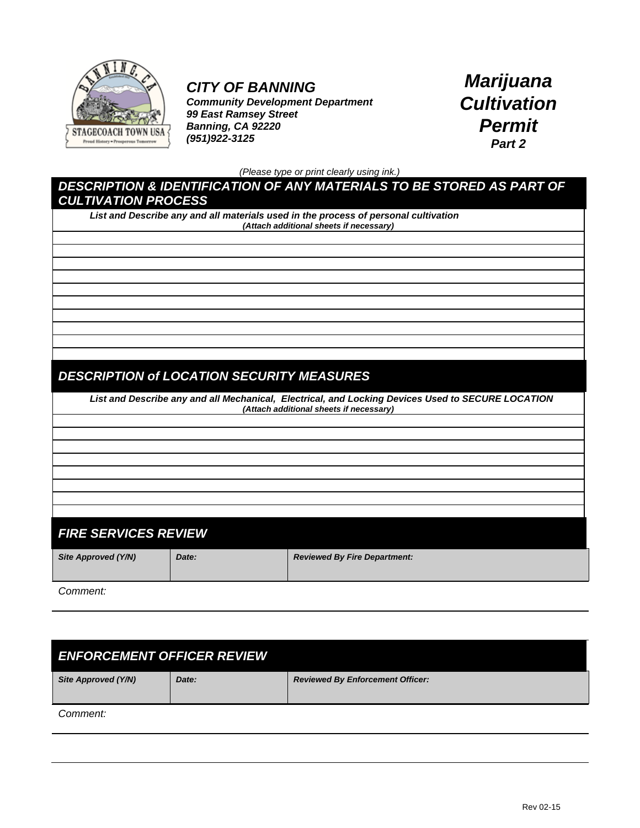

## *CITY OF BANNING*

*Community Development Department 99 East Ramsey Street Banning, CA 92220 (951)922-3125*

*Marijuana Cultivation Permit Part 2*

*(Please type or print clearly using ink.)*

#### *DESCRIPTION & IDENTIFICATION OF ANY MATERIALS TO BE STORED AS PART OF CULTIVATION PROCESS*

*List and Describe any and all materials used in the process of personal cultivation (Attach additional sheets if necessary)*

### *DESCRIPTION of LOCATION SECURITY MEASURES*

*List and Describe any and all Mechanical, Electrical, and Locking Devices Used to SECURE LOCATION (Attach additional sheets if necessary)*

## *FIRE SERVICES REVIEW*

*Site Approved (Y/N) Date: Reviewed By Fire Department:*

*Comment:*

# *ENFORCEMENT OFFICER REVIEW Site Approved (Y/N) Date: Reviewed By Enforcement Officer: Comment:*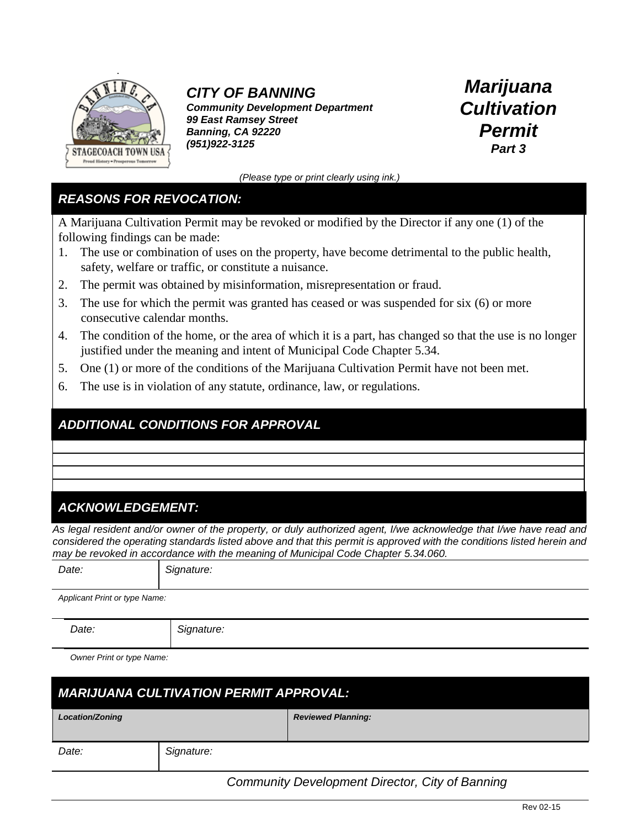

## *CITY OF BANNING*

*Community Development Department 99 East Ramsey Street Banning, CA 92220 (951)922-3125*

*Marijuana Cultivation Permit Part 3*

*(Please type or print clearly using ink.)*

#### *REASONS FOR REVOCATION:*

A Marijuana Cultivation Permit may be revoked or modified by the Director if any one (1) of the following findings can be made:

- 1. The use or combination of uses on the property, have become detrimental to the public health, safety, welfare or traffic, or constitute a nuisance.
- 2. The permit was obtained by misinformation, misrepresentation or fraud.
- 3. The use for which the permit was granted has ceased or was suspended for six (6) or more consecutive calendar months.
- 4. The condition of the home, or the area of which it is a part, has changed so that the use is no longer justified under the meaning and intent of Municipal Code Chapter 5.34.
- 5. One (1) or more of the conditions of the Marijuana Cultivation Permit have not been met.
- 6. The use is in violation of any statute, ordinance, law, or regulations.

#### *ADDITIONAL CONDITIONS FOR APPROVAL*

#### *ACKNOWLEDGEMENT:*

*As legal resident and/or owner of the property, or duly authorized agent, I/we acknowledge that I/we have read and considered the operating standards listed above and that this permit is approved with the conditions listed herein and may be revoked in accordance with the meaning of Municipal Code Chapter 5.34.060.*

*Date: Signature:*

*Applicant Print or type Name:*

*Date: Signature:*

*Owner Print or type Name:*

| <b>MARIJUANA CULTIVATION PERMIT APPROVAL:</b> |            |                           |  |
|-----------------------------------------------|------------|---------------------------|--|
| <b>Location/Zoning</b>                        |            | <b>Reviewed Planning:</b> |  |
| Date:                                         | Signature: |                           |  |

 *Community Development Director, City of Banning*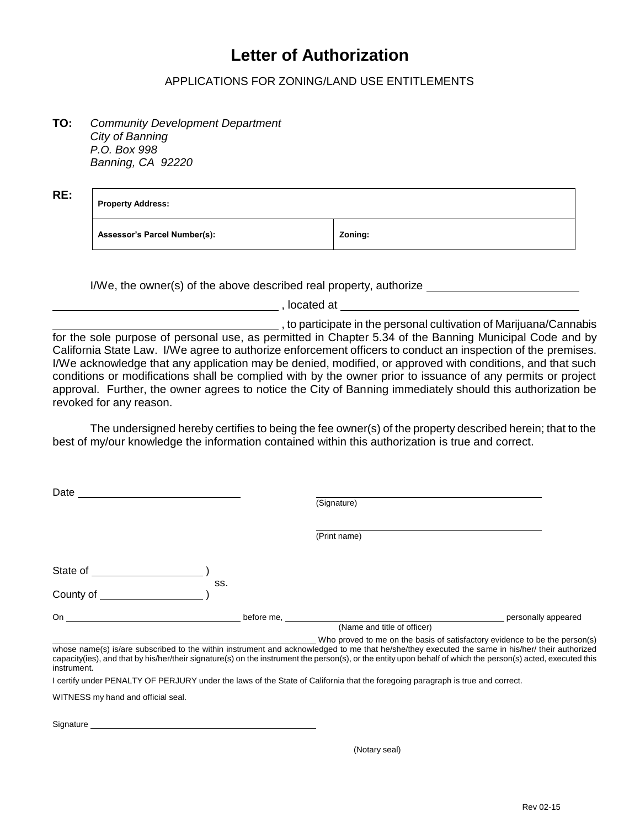# **Letter of Authorization**

#### APPLICATIONS FOR ZONING/LAND USE ENTITLEMENTS

**TO:** *Community Development Department City of Banning P.O. Box 998 Banning, CA 92220*

**RE:**

**Property Address:**

**Assessor's Parcel Number(s): Zoning:**

I/We, the owner(s) of the above described real property, authorize

, located at

, to participate in the personal cultivation of Marijuana/Cannabis for the sole purpose of personal use, as permitted in Chapter 5.34 of the Banning Municipal Code and by California State Law. I/We agree to authorize enforcement officers to conduct an inspection of the premises. I/We acknowledge that any application may be denied, modified, or approved with conditions, and that such conditions or modifications shall be complied with by the owner prior to issuance of any permits or project approval. Further, the owner agrees to notice the City of Banning immediately should this authorization be revoked for any reason.

The undersigned hereby certifies to being the fee owner(s) of the property described herein; that to the best of my/our knowledge the information contained within this authorization is true and correct.

|            | (Signature)                                                                |                                                                                                                                                                                                                                                                                                                                                |
|------------|----------------------------------------------------------------------------|------------------------------------------------------------------------------------------------------------------------------------------------------------------------------------------------------------------------------------------------------------------------------------------------------------------------------------------------|
|            | (Print name)                                                               |                                                                                                                                                                                                                                                                                                                                                |
|            |                                                                            |                                                                                                                                                                                                                                                                                                                                                |
|            |                                                                            |                                                                                                                                                                                                                                                                                                                                                |
| before me. |                                                                            | personally appeared                                                                                                                                                                                                                                                                                                                            |
|            |                                                                            |                                                                                                                                                                                                                                                                                                                                                |
|            | Who proved to me on the basis of satisfactory evidence to be the person(s) |                                                                                                                                                                                                                                                                                                                                                |
|            | SS.                                                                        | (Name and title of officer)<br>whose name(s) is/are subscribed to the within instrument and acknowledged to me that he/she/they executed the same in his/her/ their authorized<br>capacity(ies), and that by his/her/their signature(s) on the instrument the person(s), or the entity upon behalf of which the person(s) acted, executed this |

capacity(ies), and that by his/her/their signature(s) on the instrument the person(s), or the entity upon behalf of which the person(s) acted, executed this instrument.

I certify under PENALTY OF PERJURY under the laws of the State of California that the foregoing paragraph is true and correct.

WITNESS my hand and official seal.

Signature

(Notary seal)